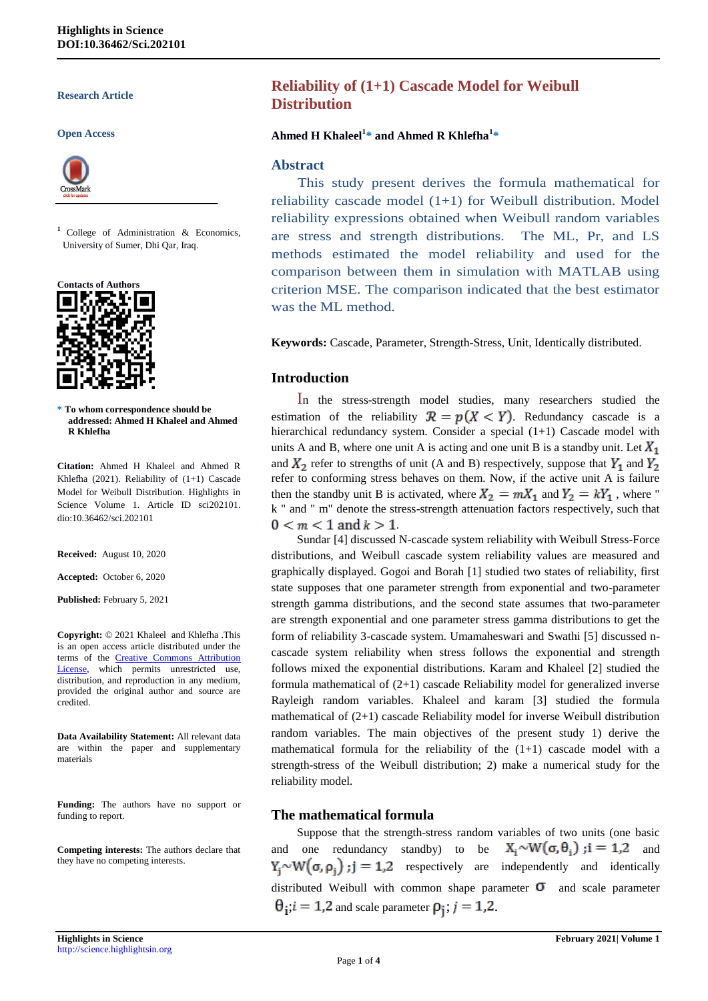#### **Research Article**

#### **Open Access**



**<sup>1</sup>** College of Administration & Economics, University of Sumer, Dhi Qar, Iraq.



**\* To whom correspondence should be addressed: Ahmed H Khaleel and Ahmed R Khlefha**

**Citation:** Ahmed H Khaleel and Ahmed R Khlefha (2021). Reliability of (1+1) Cascade Model for Weibull Distribution. Highlights in Science Volume 1. Article ID sci202101. dio:10.36462/sci.202101

**Received:** August 10, 2020

**Accepted:** October 6, 2020

**Published:** February 5, 2021

**Copyright:** © 2021 Khaleel and Khlefha .This is an open access article distributed under the terms of the [Creative Commons Attribution](https://creativecommons.org/licenses/by/4.0/)  [License,](https://creativecommons.org/licenses/by/4.0/) which permits unrestricted use, distribution, and reproduction in any medium, provided the original author and source are credited.

**Data Availability Statement:** All relevant data are within the paper and supplementary materials

**Funding:** The authors have no support or funding to report.

**Competing interests:** The authors declare that they have no competing interests.

# **Reliability of (1+1) Cascade Model for Weibull Distribution**

#### **Ahmed H Khaleel<sup>1</sup> \* and Ahmed R Khlefha<sup>1</sup> \***

#### **Abstract**

 This study present derives the formula mathematical for reliability cascade model (1+1) for Weibull distribution. Model reliability expressions obtained when Weibull random variables are stress and strength distributions. The ML, Pr, and LS methods estimated the model reliability and used for the comparison between them in simulation with MATLAB using criterion MSE. The comparison indicated that the best estimator was the ML method.

**Keywords:** Cascade, Parameter, Strength-Stress, Unit, Identically distributed.

#### **Introduction**

In the stress-strength model studies, many researchers studied the estimation of the reliability  $\mathcal{R} = p(X \le Y)$ . Redundancy cascade is a hierarchical redundancy system. Consider a special (1+1) Cascade model with units A and B, where one unit A is acting and one unit B is a standby unit. Let  $X_1$ and  $X_2$  refer to strengths of unit (A and B) respectively, suppose that  $Y_1$  and  $Y_2$ refer to conforming stress behaves on them. Now, if the active unit A is failure then the standby unit B is activated, where  $X_2 = mX_1$  and  $Y_2 = kY_1$ , where " k " and " m" denote the stress-strength attenuation factors respectively, such that  $0 < m < 1$  and  $k > 1$ .

Sundar [4] discussed N-cascade system reliability with Weibull Stress-Force distributions, and Weibull cascade system reliability values are measured and graphically displayed. Gogoi and Borah [1] studied two states of reliability, first state supposes that one parameter strength from exponential and two-parameter strength gamma distributions, and the second state assumes that two-parameter are strength exponential and one parameter stress gamma distributions to get the form of reliability 3-cascade system. Umamaheswari and Swathi [5] discussed ncascade system reliability when stress follows the exponential and strength follows mixed the exponential distributions. Karam and Khaleel [2] studied the formula mathematical of  $(2+1)$  cascade Reliability model for generalized inverse Rayleigh random variables. Khaleel and karam [3] studied the formula mathematical of  $(2+1)$  cascade Reliability model for inverse Weibull distribution random variables. The main objectives of the present study 1) derive the mathematical formula for the reliability of the  $(1+1)$  cascade model with a strength-stress of the Weibull distribution; 2) make a numerical study for the reliability model.

### **The mathematical formula**

Suppose that the strength-stress random variables of two units (one basic and one redundancy standby) to be  $X_i \sim W(\sigma, \theta_i)$ ;  $i = 1,2$  and  $Y_i \sim W(\sigma, \rho_i)$ ;  $j = 1,2$  respectively are independently and identically distributed Weibull with common shape parameter  $\sigma$  and scale parameter  $\theta_i$ ;  $i = 1,2$  and scale parameter  $\rho_i$ ;  $j = 1,2$ .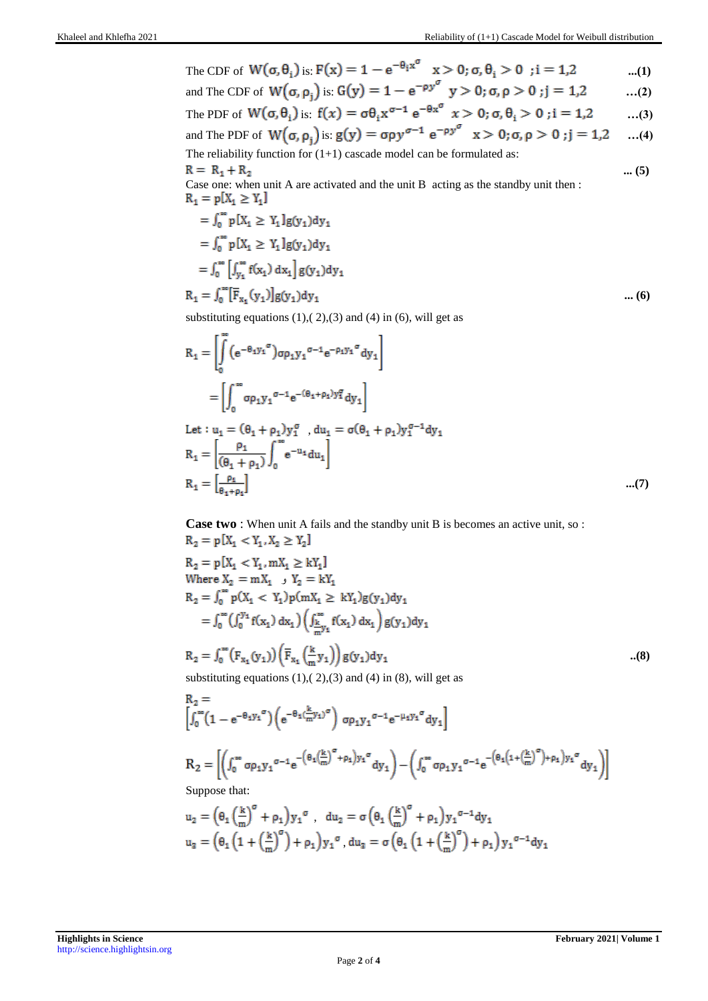The CDF of 
$$
W(\sigma, \theta_i)
$$
 is:  $F(x) = 1 - e^{-\theta_i x^{\sigma}}$   $x > 0$ ;  $\sigma, \theta_i > 0$  ;  $i = 1,2$  ...(1)

and The CDF of 
$$
W(\sigma, \rho_j)
$$
 is  $G(y) = 1 - e^{-\rho y^{\sigma}} y > 0$ ;  $\sigma, \rho > 0$ ;  $j = 1, 2$  ...(2)

The PDF of 
$$
W(\sigma, \theta_i)
$$
 is:  $f(x) = \sigma \theta_i x^{\sigma-1} e^{-\theta x}$   $x > 0$ ;  $\sigma, \theta_i > 0$ ;  $i = 1,2$  ...(3)  
and The PDF of  $W(\sigma, \rho_j)$  is:  $g(y) = \sigma \rho y^{\sigma-1} e^{-\rho y^{\sigma}}$   $x > 0$ ;  $\sigma, \rho > 0$ ;  $j = 1,2$  ...(4)

The reliability function for  $(1+1)$  cascade model can be formulated as:

**... (5)** Case one: when unit A are activated and the unit B acting as the standby unit then :  $R_1 = p[X_1 \ge Y_1]$ 

$$
= \int_0^{\infty} p[X_1 \ge Y_1] g(y_1) dy_1
$$
  
\n
$$
= \int_0^{\infty} p[X_1 \ge Y_1] g(y_1) dy_1
$$
  
\n
$$
= \int_0^{\infty} \left[ \int_{y_1}^{\infty} f(x_1) dx_1 \right] g(y_1) dy_1
$$
  
\n
$$
R_1 = \int_0^{\infty} \left[ \overline{F}_{x_1}(y_1) \right] g(y_1) dy_1
$$
 .... (6)

substituting equations  $(1)$ ,  $(2)$ ,  $(3)$  and  $(4)$  in  $(6)$ , will get as

$$
R_{1} = \left[ \int_{0}^{\infty} (e^{-\theta_{1}y_{1}}^{\sigma}) \sigma \rho_{1}y_{1}^{\sigma-1} e^{-\rho_{1}y_{1}}^{\sigma} dy_{1} \right]
$$
  
\n
$$
= \left[ \int_{0}^{\infty} \sigma \rho_{1}y_{1}^{\sigma-1} e^{-(\theta_{1} + \rho_{1})y_{1}^{\sigma}} dy_{1} \right]
$$
  
\nLet :  $u_{1} = (\theta_{1} + \rho_{1})y_{1}^{\sigma}$ ,  $du_{1} = \sigma(\theta_{1} + \rho_{1})y_{1}^{\sigma-1} dy_{1}$   
\n
$$
R_{1} = \left[ \frac{\rho_{1}}{(\theta_{1} + \rho_{1})} \int_{0}^{\infty} e^{-u_{1}} du_{1} \right]
$$
  
\n
$$
R_{1} = \left[ \frac{\rho_{1}}{\theta_{1} + \rho_{1}} \right]
$$
...(7)

**Case two** : When unit A fails and the standby unit B is becomes an active unit, so :  $R_2 = p[X_1 < Y_1, X_2 \ge Y_2]$  $\begin{aligned} \mathbf{R}_2 &= \mathbf{p}\big[X_1 < Y_1, mX_1 \geq kY_1\big] \\ \text{Where } \mathbf{X}_2 &= mX_1 \quad, \text{ } \mathbf{Y}_2 = kY_1 \end{aligned}$  $R_2 = \int_0^{\infty} p(X_1 < Y_1) p(mX_1 \geq kY_1) g(y_1) dy_1$  $= \textstyle\int_0^\infty \bigl(\int_0^{y_1} f(x_1) \ dx_1\bigr) \biggl( \textstyle\int_{\frac{\omega}{\omega}y_1}^\infty f(x_1) \ dx_1 \biggr) g(y_1) dy_1$ 

$$
R_2 = \int_0^\infty (F_{x_1}(y_1)) \left( \overline{F}_{x_1} \left( \frac{k}{m} y_1 \right) \right) g(y_1) dy_1
$$
\nsubstituting equations (1), (2), (3) and (4) in (8), will get as

$$
\begin{aligned} R_2 &= \\ &\left[\int_0^\infty \!\!\! \left(1-e^{-\theta_1 y_1}{}^\sigma\right)\! \left(e^{-\theta_1 (\frac{k}{m}y_1)^\sigma}\right) \, \sigma \rho_1 y_1{}^{\sigma-1} e^{-\mu_1 y_1{}^\sigma} dy_1\right] \\ R_2 &= \left[\!\left(\int_0^\infty \sigma \rho_1 y_1{}^{\sigma-1} e^{-\left(\theta_1 \left(\frac{k}{m}\right)^\sigma + \rho_1\right) y_1{}^\sigma} dy_1\right) \!-\! \left(\int_0^\infty \sigma \rho_1 y_1{}^{\sigma-1} e^{-\left(\theta_1 \left(1+\left(\frac{k}{m}\right)^\sigma\right) + \rho_1\right) y_1{}^\sigma} dy_1\right)\!\right] \\ \text{Suppose that:} \end{aligned}
$$

$$
u_2 = \left(\theta_1 \left(\frac{k}{m}\right)^{\sigma} + \rho_1\right) y_1^{\sigma}, \quad du_2 = \sigma \left(\theta_1 \left(\frac{k}{m}\right)^{\sigma} + \rho_1\right) y_1^{\sigma - 1} dy_1
$$
  

$$
u_3 = \left(\theta_1 \left(1 + \left(\frac{k}{m}\right)^{\sigma}\right) + \rho_1\right) y_1^{\sigma}, \quad du_3 = \sigma \left(\theta_1 \left(1 + \left(\frac{k}{m}\right)^{\sigma}\right) + \rho_1\right) y_1^{\sigma - 1} dy_1
$$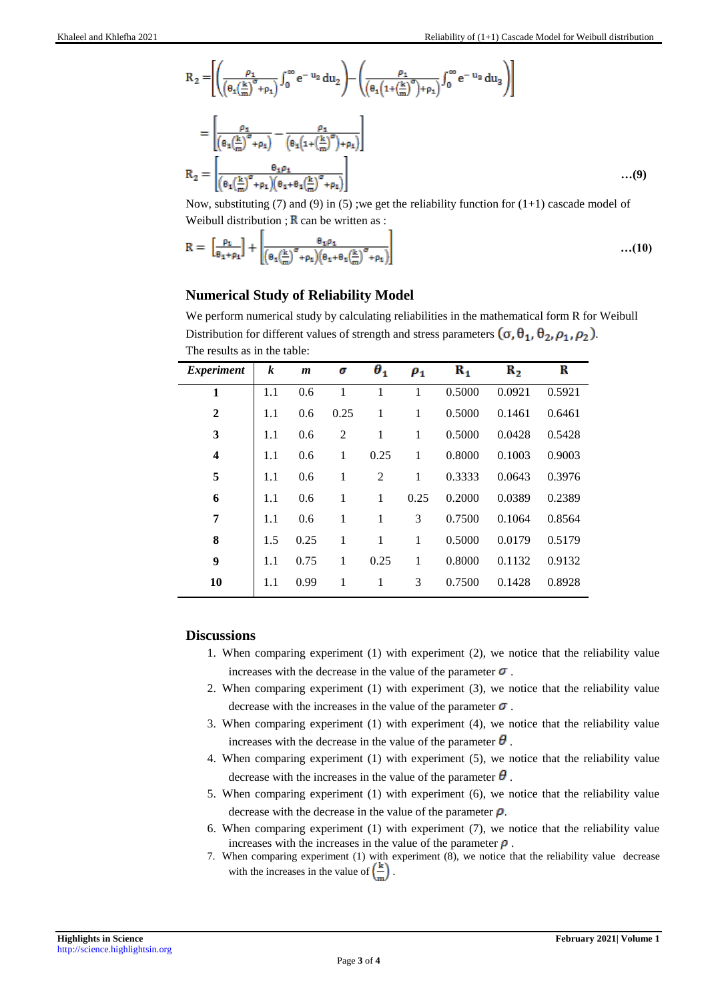$$
R_2 = \left[ \left( \frac{\rho_1}{\left( \theta_1 \left( \frac{k}{m} \right)^{\sigma} + \rho_1 \right)} \int_0^{\infty} e^{-u_2} du_2 \right) - \left( \frac{\rho_1}{\left( \theta_1 \left( 1 + \left( \frac{k}{m} \right)^{\sigma} \right) + \rho_1 \right)} \int_0^{\infty} e^{-u_2} du_3 \right) \right]
$$
  
= 
$$
\left[ \frac{\rho_1}{\left( \theta_1 \left( \frac{k}{m} \right)^{\sigma} + \rho_1 \right)} - \frac{\rho_1}{\left( \theta_1 \left( 1 + \left( \frac{k}{m} \right)^{\sigma} \right) + \rho_1 \right)} \right]
$$
  

$$
R_2 = \left[ \frac{\theta_1 \rho_1}{\left( \theta_1 \left( \frac{k}{m} \right)^{\sigma} + \rho_1 \right) \left( \theta_1 + \theta_1 \left( \frac{k}{m} \right)^{\sigma} + \rho_1 \right)} \right]
$$
...(9)

Now, substituting  $(7)$  and  $(9)$  in  $(5)$ ; we get the reliability function for  $(1+1)$  cascade model of Weibull distribution ;  $\bf{R}$  can be written as :

$$
R = \left[\frac{\rho_1}{\theta_1 + \rho_1}\right] + \left[\frac{\theta_1 \rho_1}{\left(\theta_1\left(\frac{k}{m}\right)^{\sigma} + \rho_1\right)\left(\theta_1 + \theta_1\left(\frac{k}{m}\right)^{\sigma} + \rho_1\right)}\right] \tag{10}
$$

# **Numerical Study of Reliability Model**

We perform numerical study by calculating reliabilities in the mathematical form R for Weibull Distribution for different values of strength and stress parameters  $(\sigma, \theta_1, \theta_2, \rho_1, \rho_2)$ . The results as in the table:

| <i>Experiment</i>       | $\boldsymbol{k}$ | $\boldsymbol{m}$ | σ              | $\boldsymbol{\theta}_1$ | $\rho_1$ | $R_{1}$ | $R_{2}$ | R      |
|-------------------------|------------------|------------------|----------------|-------------------------|----------|---------|---------|--------|
| 1                       | 1.1              | 0.6              | 1              | 1                       | 1        | 0.5000  | 0.0921  | 0.5921 |
| $\overline{2}$          | 1.1              | 0.6              | 0.25           | $\mathbf{1}$            | 1        | 0.5000  | 0.1461  | 0.6461 |
| 3                       | 1.1              | 0.6              | $\overline{2}$ | 1                       | 1        | 0.5000  | 0.0428  | 0.5428 |
| $\overline{\mathbf{4}}$ | 1.1              | 0.6              | 1              | 0.25                    | 1        | 0.8000  | 0.1003  | 0.9003 |
| 5                       | 1.1              | 0.6              | 1              | $\overline{2}$          | 1        | 0.3333  | 0.0643  | 0.3976 |
| 6                       | 1.1              | 0.6              | 1              | 1                       | 0.25     | 0.2000  | 0.0389  | 0.2389 |
| 7                       | 1.1              | 0.6              | 1              | 1                       | 3        | 0.7500  | 0.1064  | 0.8564 |
| 8                       | 1.5              | 0.25             | 1              | 1                       | 1        | 0.5000  | 0.0179  | 0.5179 |
| 9                       | 1.1              | 0.75             | 1              | 0.25                    | 1        | 0.8000  | 0.1132  | 0.9132 |
| 10                      | 1.1              | 0.99             | 1              | 1                       | 3        | 0.7500  | 0.1428  | 0.8928 |

### **Discussions**

- 1. When comparing experiment (1) with experiment (2), we notice that the reliability value increases with the decrease in the value of the parameter  $\sigma$ .
- 2. When comparing experiment (1) with experiment (3), we notice that the reliability value decrease with the increases in the value of the parameter  $\sigma$ .
- 3. When comparing experiment (1) with experiment (4), we notice that the reliability value increases with the decrease in the value of the parameter  $\theta$ .
- 4. When comparing experiment (1) with experiment (5), we notice that the reliability value decrease with the increases in the value of the parameter  $\theta$ .
- 5. When comparing experiment (1) with experiment (6), we notice that the reliability value decrease with the decrease in the value of the parameter  $\rho$ .
- 6. When comparing experiment (1) with experiment (7), we notice that the reliability value increases with the increases in the value of the parameter  $\rho$ .
- 7. When comparing experiment (1) with experiment (8), we notice that the reliability value decrease with the increases in the value of  $\left(\frac{k}{m}\right)$ .